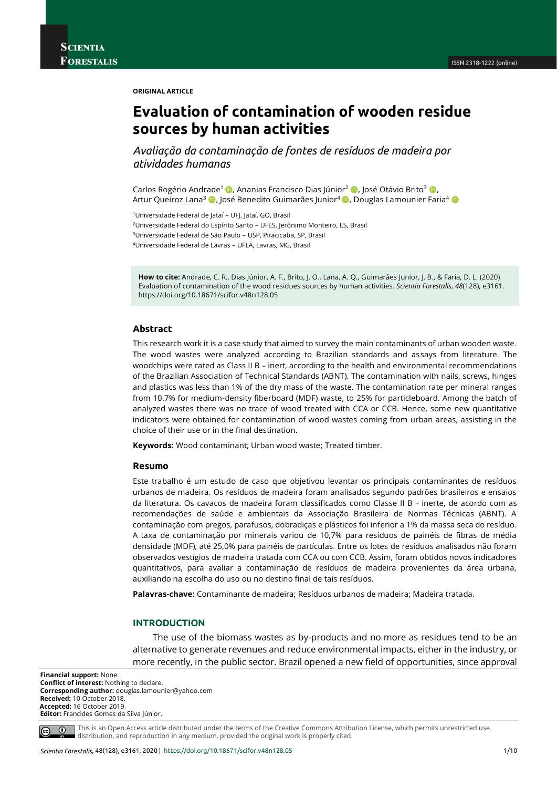**ORIGINAL ARTICLE**

# **Evaluation of contamination of wooden residue sources by human activities**

*Avaliação da contaminação de fontes de resíduos de madeira por atividades humanas*

Carlos Rogério Andrade<sup>1</sup> D[,](https://orcid.org/0000-0001-7243-3073) Ananias Francisco Dias Júnior<sup>2</sup> D[,](https://orcid.org/0000-0002-0873-0994) José Otávio Brito<sup>3</sup> D, Artur Queiroz Lana<sup>3</sup> ©[,](https://orcid.org/0000-0001-7390-3284) José Benedito Guimarães Junior<sup>4</sup> ©[,](https://orcid.org/0000-0002-9066-1069) Douglas Lamounier Faria<sup>[4](https://orcid.org/0000-0002-5405-8430)</sup>

<sup>1</sup>Universidade Federal de Jataí – UFJ, Jataí, GO, Brasil

<sup>2</sup>Universidade Federal do Espírito Santo – UFES, Jerônimo Monteiro, ES, Brasil

<sup>3</sup>Universidade Federal de São Paulo – USP, Piracicaba, SP, Brasil

<sup>4</sup>Universidade Federal de Lavras – UFLA, Lavras, MG, Brasil

**How to cite:** Andrade, C. R., Dias Júnior, A. F., Brito, J. O., Lana, A. Q., Guimarães Junior, J. B., & Faria, D. L. (2020). Evaluation of contamination of the wood residues sources by human activities. *Scientia Forestalis*, *48*(128), e3161. https://doi.org/10.18671/scifor.v48n128.05

## **Abstract**

This research work it is a case study that aimed to survey the main contaminants of urban wooden waste. The wood wastes were analyzed according to Brazilian standards and assays from literature. The woodchips were rated as Class II B – inert, according to the health and environmental recommendations of the Brazilian Association of Technical Standards (ABNT). The contamination with nails, screws, hinges and plastics was less than 1% of the dry mass of the waste. The contamination rate per mineral ranges from 10.7% for medium-density fiberboard (MDF) waste, to 25% for particleboard. Among the batch of analyzed wastes there was no trace of wood treated with CCA or CCB. Hence, some new quantitative indicators were obtained for contamination of wood wastes coming from urban areas, assisting in the choice of their use or in the final destination.

**Keywords:** Wood contaminant; Urban wood waste; Treated timber.

#### **Resumo**

Este trabalho é um estudo de caso que objetivou levantar os principais contaminantes de resíduos urbanos de madeira. Os resíduos de madeira foram analisados segundo padrões brasileiros e ensaios da literatura. Os cavacos de madeira foram classificados como Classe II B - inerte, de acordo com as recomendações de saúde e ambientais da Associação Brasileira de Normas Técnicas (ABNT). A contaminação com pregos, parafusos, dobradiças e plásticos foi inferior a 1% da massa seca do resíduo. A taxa de contaminação por minerais variou de 10,7% para resíduos de painéis de fibras de média densidade (MDF), até 25,0% para painéis de partículas. Entre os lotes de resíduos analisados não foram observados vestígios de madeira tratada com CCA ou com CCB. Assim, foram obtidos novos indicadores quantitativos, para avaliar a contaminação de resíduos de madeira provenientes da área urbana, auxiliando na escolha do uso ou no destino final de tais resíduos.

**Palavras-chave:** Contaminante de madeira; Resíduos urbanos de madeira; Madeira tratada.

## **INTRODUCTION**

The use of the biomass wastes as by-products and no more as residues tend to be an alternative to generate revenues and reduce environmental impacts, either in the industry, or more recently, in the public sector. Brazil opened a new field of opportunities, since approval

```
Financial support: None.
Conflict of interest: Nothing to declare.
Corresponding author: douglas.lamounier@yahoo.com
Received: 10 October 2018.
Accepted: 16 October 2019.
Editor: Francides Gomes da Silva Júnior.
```


This is an Open Access article distributed under the terms of the Creative Commons Attribution License, which permits unrestricted use, distribution, and reproduction in any medium, provided the original work is properly cited.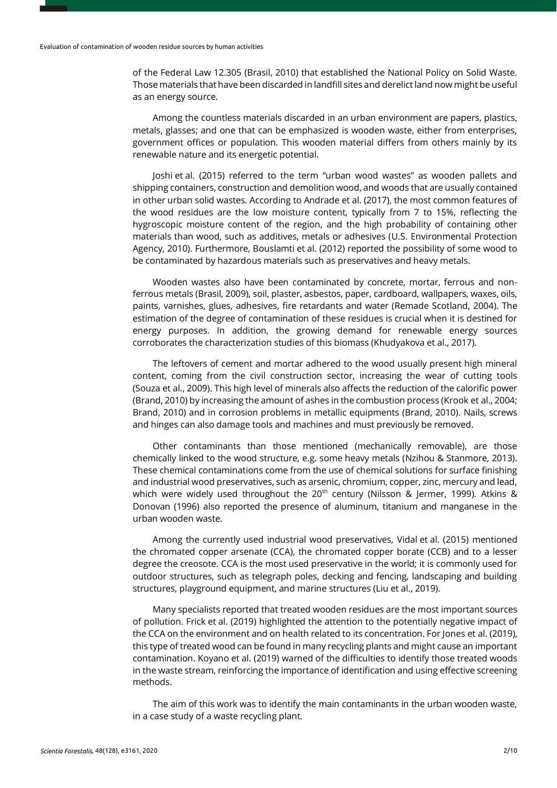of the Federal Law 12.305 (Brasil, 2010) that established the National Policy on Solid Waste. Those materials that have been discarded in landfill sites and derelict land now might be useful as an energy source.

Among the countless materials discarded in an urban environment are papers, plastics, metals, glasses; and one that can be emphasized is wooden waste, either from enterprises, government offices or population. This wooden material differs from others mainly by its renewable nature and its energetic potential.

Joshi et al. (2015) referred to the term "urban wood wastes" as wooden pallets and shipping containers, construction and demolition wood, and woods that are usually contained in other urban solid wastes. According to Andrade et al. (2017), the most common features of the wood residues are the low moisture content, typically from 7 to 15%, reflecting the hygroscopic moisture content of the region, and the high probability of containing other materials than wood, such as additives, metals or adhesives (U.S. Environmental Protection Agency, 2010). Furthermore, Bouslamti et al. (2012) reported the possibility of some wood to be contaminated by hazardous materials such as preservatives and heavy metals.

Wooden wastes also have been contaminated by concrete, mortar, ferrous and nonferrous metals (Brasil, 2009), soil, plaster, asbestos, paper, cardboard, wallpapers, waxes, oils, paints, varnishes, glues, adhesives, fire retardants and water (Remade Scotland, 2004). The estimation of the degree of contamination of these residues is crucial when it is destined for energy purposes. In addition, the growing demand for renewable energy sources corroborates the characterization studies of this biomass (Khudyakova et al., 2017).

The leftovers of cement and mortar adhered to the wood usually present high mineral content, coming from the civil construction sector, increasing the wear of cutting tools (Souza et al., 2009). This high level of minerals also affects the reduction of the calorific power (Brand, 2010) by increasing the amount of ashes in the combustion process (Krook et al., 2004; Brand, 2010) and in corrosion problems in metallic equipments (Brand, 2010). Nails, screws and hinges can also damage tools and machines and must previously be removed.

Other contaminants than those mentioned (mechanically removable), are those chemically linked to the wood structure, e.g. some heavy metals (Nzihou & Stanmore, 2013). These chemical contaminations come from the use of chemical solutions for surface finishing and industrial wood preservatives, such as arsenic, chromium, copper, zinc, mercury and lead, which were widely used throughout the  $20<sup>th</sup>$  century (Nilsson & Jermer, 1999). Atkins & Donovan (1996) also reported the presence of aluminum, titanium and manganese in the urban wooden waste.

Among the currently used industrial wood preservatives, Vidal et al. (2015) mentioned the chromated copper arsenate (CCA), the chromated copper borate (CCB) and to a lesser degree the creosote. CCA is the most used preservative in the world; it is commonly used for outdoor structures, such as telegraph poles, decking and fencing, landscaping and building structures, playground equipment, and marine structures (Liu et al., 2019).

Many specialists reported that treated wooden residues are the most important sources of pollution. Frick et al. (2019) highlighted the attention to the potentially negative impact of the CCA on the environment and on health related to its concentration. For Jones et al. (2019), this type of treated wood can be found in many recycling plants and might cause an important contamination. Koyano et al. (2019) warned of the difficulties to identify those treated woods in the waste stream, reinforcing the importance of identification and using effective screening methods.

The aim of this work was to identify the main contaminants in the urban wooden waste, in a case study of a waste recycling plant.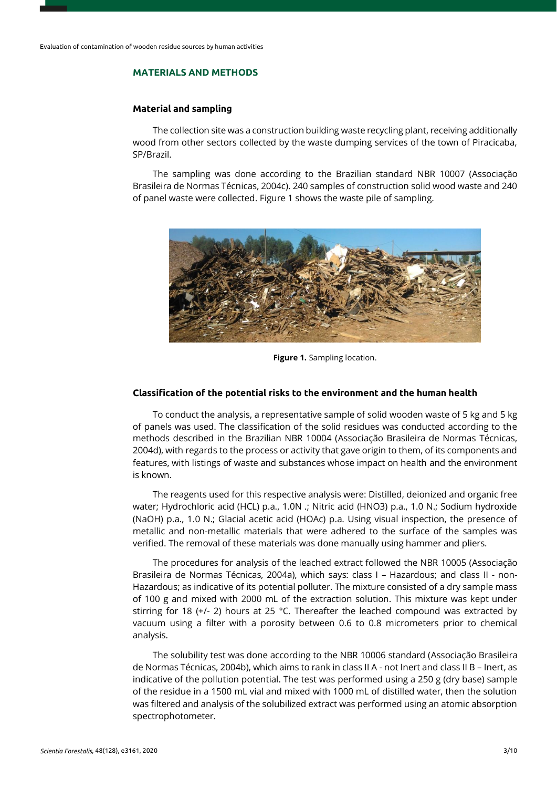## **MATERIALS AND METHODS**

## **Material and sampling**

The collection site was a construction building waste recycling plant, receiving additionally wood from other sectors collected by the waste dumping services of the town of Piracicaba, SP/Brazil.

The sampling was done according to the Brazilian standard NBR 10007 (Associação Brasileira de Normas Técnicas, 2004c). 240 samples of construction solid wood waste and 240 of panel waste were collected. Figure 1 shows the waste pile of sampling.



**Figure 1.** Sampling location.

## **Classification of the potential risks to the environment and the human health**

To conduct the analysis, a representative sample of solid wooden waste of 5 kg and 5 kg of panels was used. The classification of the solid residues was conducted according to the methods described in the Brazilian NBR 10004 (Associação Brasileira de Normas Técnicas, 2004d), with regards to the process or activity that gave origin to them, of its components and features, with listings of waste and substances whose impact on health and the environment is known.

The reagents used for this respective analysis were: Distilled, deionized and organic free water; Hydrochloric acid (HCL) p.a., 1.0N .; Nitric acid (HNO3) p.a., 1.0 N.; Sodium hydroxide (NaOH) p.a., 1.0 N.; Glacial acetic acid (HOAc) p.a. Using visual inspection, the presence of metallic and non-metallic materials that were adhered to the surface of the samples was verified. The removal of these materials was done manually using hammer and pliers.

The procedures for analysis of the leached extract followed the NBR 10005 (Associação Brasileira de Normas Técnicas, 2004a), which says: class I – Hazardous; and class II - non-Hazardous; as indicative of its potential polluter. The mixture consisted of a dry sample mass of 100 g and mixed with 2000 mL of the extraction solution. This mixture was kept under stirring for 18 (+/- 2) hours at 25 °C. Thereafter the leached compound was extracted by vacuum using a filter with a porosity between 0.6 to 0.8 micrometers prior to chemical analysis.

The solubility test was done according to the NBR 10006 standard (Associação Brasileira de Normas Técnicas, 2004b), which aims to rank in class II A - not Inert and class II B – Inert, as indicative of the pollution potential. The test was performed using a 250 g (dry base) sample of the residue in a 1500 mL vial and mixed with 1000 mL of distilled water, then the solution was filtered and analysis of the solubilized extract was performed using an atomic absorption spectrophotometer.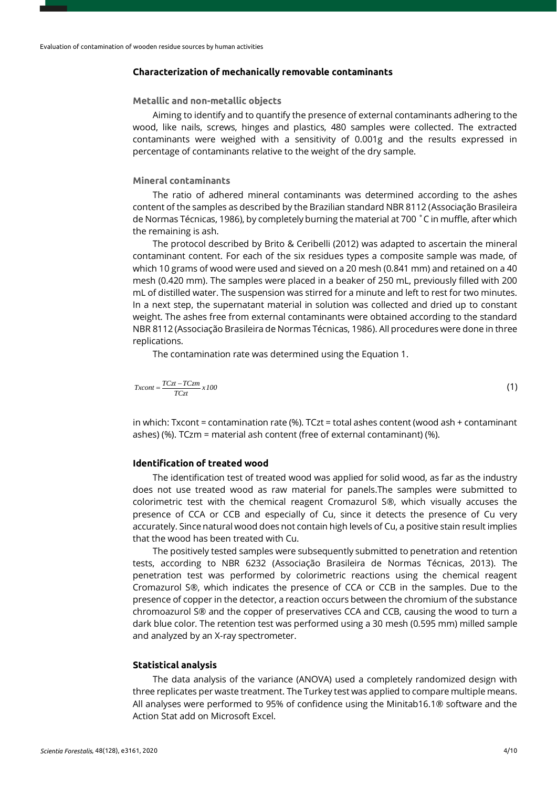## **Characterization of mechanically removable contaminants**

## **Metallic and non-metallic objects**

Aiming to identify and to quantify the presence of external contaminants adhering to the wood, like nails, screws, hinges and plastics, 480 samples were collected. The extracted contaminants were weighed with a sensitivity of 0.001g and the results expressed in percentage of contaminants relative to the weight of the dry sample.

## **Mineral contaminants**

The ratio of adhered mineral contaminants was determined according to the ashes content of the samples as described by the Brazilian standard NBR 8112 (Associação Brasileira de Normas Técnicas, 1986), by completely burning the material at 700 ˚C in muffle, after which the remaining is ash.

The protocol described by Brito & Ceribelli (2012) was adapted to ascertain the mineral contaminant content. For each of the six residues types a composite sample was made, of which 10 grams of wood were used and sieved on a 20 mesh (0.841 mm) and retained on a 40 mesh (0.420 mm). The samples were placed in a beaker of 250 mL, previously filled with 200 mL of distilled water. The suspension was stirred for a minute and left to rest for two minutes. In a next step, the supernatant material in solution was collected and dried up to constant weight. The ashes free from external contaminants were obtained according to the standard NBR 8112 (Associação Brasileira de Normas Técnicas, 1986). All procedures were done in three replications.

The contamination rate was determined using the Equation 1.

$$
Txcont = \frac{TCzt - TCzm}{TCzt} \times 100
$$
\n(1)

in which: Txcont = contamination rate (%). TCzt = total ashes content (wood ash + contaminant ashes) (%). TCzm = material ash content (free of external contaminant) (%).

## **Identification of treated wood**

The identification test of treated wood was applied for solid wood, as far as the industry does not use treated wood as raw material for panels.The samples were submitted to colorimetric test with the chemical reagent Cromazurol S®, which visually accuses the presence of CCA or CCB and especially of Cu, since it detects the presence of Cu very accurately. Since natural wood does not contain high levels of Cu, a positive stain result implies that the wood has been treated with Cu.

The positively tested samples were subsequently submitted to penetration and retention tests, according to NBR 6232 (Associação Brasileira de Normas Técnicas, 2013). The penetration test was performed by colorimetric reactions using the chemical reagent Cromazurol S®, which indicates the presence of CCA or CCB in the samples. Due to the presence of copper in the detector, a reaction occurs between the chromium of the substance chromoazurol S® and the copper of preservatives CCA and CCB, causing the wood to turn a dark blue color. The retention test was performed using a 30 mesh (0.595 mm) milled sample and analyzed by an X-ray spectrometer.

# **Statistical analysis**

The data analysis of the variance (ANOVA) used a completely randomized design with three replicates per waste treatment. The Turkey test was applied to compare multiple means. All analyses were performed to 95% of confidence using the Minitab16.1® software and the Action Stat add on Microsoft Excel.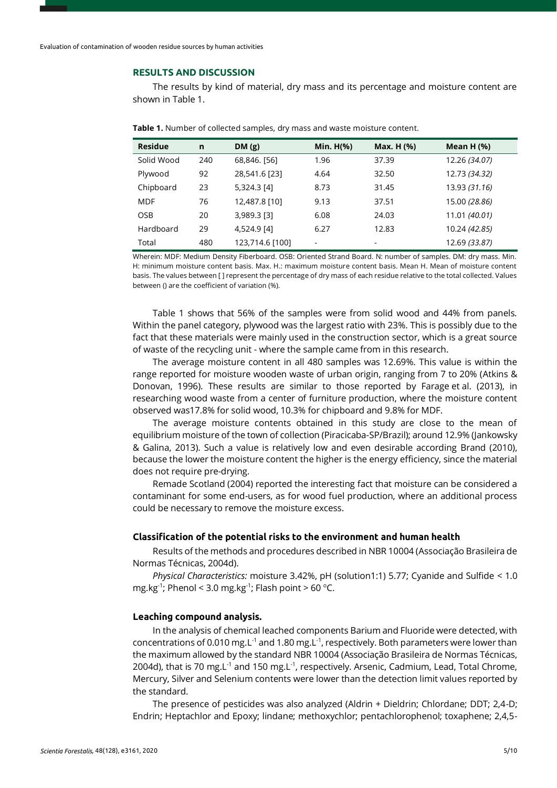#### **RESULTS AND DISCUSSION**

The results by kind of material, dry mass and its percentage and moisture content are shown in Table 1.

| <b>Residue</b> | n   | DM(g)           | Min. H(%)                | Max. H (%) | Mean H $(\%)$ |
|----------------|-----|-----------------|--------------------------|------------|---------------|
| Solid Wood     | 240 | 68,846. [56]    | 1.96                     | 37.39      | 12.26 (34.07) |
| Plywood        | 92  | 28,541.6 [23]   | 4.64                     | 32.50      | 12.73 (34.32) |
| Chipboard      | 23  | 5,324.3 [4]     | 8.73                     | 31.45      | 13.93 (31.16) |
| <b>MDF</b>     | 76  | 12,487.8 [10]   | 9.13                     | 37.51      | 15.00 (28.86) |
| <b>OSB</b>     | 20  | 3,989.3 [3]     | 6.08                     | 24.03      | 11.01 (40.01) |
| Hardboard      | 29  | 4,524.9 [4]     | 6.27                     | 12.83      | 10.24 (42.85) |
| Total          | 480 | 123,714.6 [100] | $\overline{\phantom{0}}$ | ۰          | 12.69 (33.87) |

**Table 1.** Number of collected samples, dry mass and waste moisture content.

Wherein: MDF: Medium Density Fiberboard. OSB: Oriented Strand Board. N: number of samples. DM: dry mass. Min. H: minimum moisture content basis. Max. H.: maximum moisture content basis. Mean H. Mean of moisture content basis. The values between [ ] represent the percentage of dry mass of each residue relative to the total collected. Values between () are the coefficient of variation (%).

Table 1 shows that 56% of the samples were from solid wood and 44% from panels. Within the panel category, plywood was the largest ratio with 23%. This is possibly due to the fact that these materials were mainly used in the construction sector, which is a great source of waste of the recycling unit - where the sample came from in this research.

The average moisture content in all 480 samples was 12.69%. This value is within the range reported for moisture wooden waste of urban origin, ranging from 7 to 20% (Atkins & Donovan, 1996). These results are similar to those reported by Farage et al. (2013), in researching wood waste from a center of furniture production, where the moisture content observed was17.8% for solid wood, 10.3% for chipboard and 9.8% for MDF.

The average moisture contents obtained in this study are close to the mean of equilibrium moisture of the town of collection (Piracicaba-SP/Brazil); around 12.9% (Jankowsky & Galina, 2013). Such a value is relatively low and even desirable according Brand (2010), because the lower the moisture content the higher is the energy efficiency, since the material does not require pre-drying.

Remade Scotland (2004) reported the interesting fact that moisture can be considered a contaminant for some end-users, as for wood fuel production, where an additional process could be necessary to remove the moisture excess.

## **Classification of the potential risks to the environment and human health**

Results of the methods and procedures described in NBR 10004 (Associação Brasileira de Normas Técnicas, 2004d).

*Physical Characteristics:* moisture 3.42%, pH (solution1:1) 5.77; Cyanide and Sulfide < 1.0 mg.kg $^{-1}$ ; Phenol < 3.0 mg.kg $^{-1}$ ; Flash point > 60  $^{\circ}$ C.

#### **Leaching compound analysis.**

In the analysis of chemical leached components Barium and Fluoride were detected, with concentrations of 0.010 mg.L<sup>-1</sup> and 1.80 mg.L<sup>-1</sup>, respectively. Both parameters were lower than the maximum allowed by the standard NBR 10004 (Associação Brasileira de Normas Técnicas, 2004d), that is 70 mg.L $^{-1}$  and 150 mg.L $^{-1}$ , respectively. Arsenic, Cadmium, Lead, Total Chrome, Mercury, Silver and Selenium contents were lower than the detection limit values reported by the standard.

The presence of pesticides was also analyzed (Aldrin + Dieldrin; Chlordane; DDT; 2,4-D; Endrin; Heptachlor and Epoxy; lindane; methoxychlor; pentachlorophenol; toxaphene; 2,4,5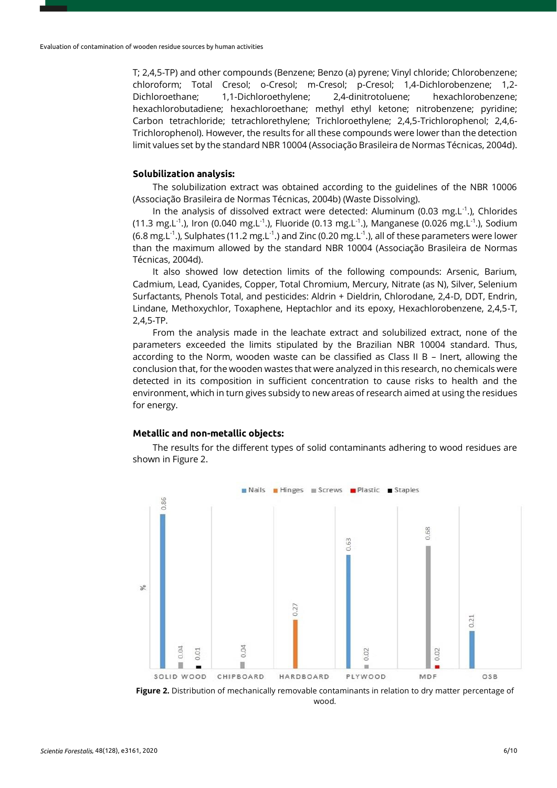T; 2,4,5-TP) and other compounds (Benzene; Benzo (a) pyrene; Vinyl chloride; Chlorobenzene; chloroform; Total Cresol; o-Cresol; m-Cresol; p-Cresol; 1,4-Dichlorobenzene; 1,2- Dichloroethane; 1,1-Dichloroethylene; 2,4-dinitrotoluene; hexachlorobenzene; hexachlorobutadiene; hexachloroethane; methyl ethyl ketone; nitrobenzene; pyridine; Carbon tetrachloride; tetrachlorethylene; Trichloroethylene; 2,4,5-Trichlorophenol; 2,4,6- Trichlorophenol). However, the results for all these compounds were lower than the detection limit values set by the standard NBR 10004 (Associação Brasileira de Normas Técnicas, 2004d).

## **Solubilization analysis:**

The solubilization extract was obtained according to the guidelines of the NBR 10006 (Associação Brasileira de Normas Técnicas, 2004b) (Waste Dissolving).

In the analysis of dissolved extract were detected: Aluminum (0.03 mg.L<sup>-1</sup>.), Chlorides (11.3 mg.L<sup>-1</sup>.), Iron (0.040 mg.L<sup>-1</sup>.), Fluoride (0.13 mg.L<sup>-1</sup>.), Manganese (0.026 mg.L<sup>-1</sup>.), Sodium (6.8 mg.L<sup>-1</sup>.), Sulphates (11.2 mg.L<sup>-1</sup>.) and Zinc (0.20 mg.L<sup>-1</sup>.), all of these parameters were lower than the maximum allowed by the standard NBR 10004 (Associação Brasileira de Normas Técnicas, 2004d).

It also showed low detection limits of the following compounds: Arsenic, Barium, Cadmium, Lead, Cyanides, Copper, Total Chromium, Mercury, Nitrate (as N), Silver, Selenium Surfactants, Phenols Total, and pesticides: Aldrin + Dieldrin, Chlorodane, 2,4-D, DDT, Endrin, Lindane, Methoxychlor, Toxaphene, Heptachlor and its epoxy, Hexachlorobenzene, 2,4,5-T, 2,4,5-TP.

From the analysis made in the leachate extract and solubilized extract, none of the parameters exceeded the limits stipulated by the Brazilian NBR 10004 standard. Thus, according to the Norm, wooden waste can be classified as Class II B – Inert, allowing the conclusion that, for the wooden wastes that were analyzed in this research, no chemicals were detected in its composition in sufficient concentration to cause risks to health and the environment, which in turn gives subsidy to new areas of research aimed at using the residues for energy.

#### **Metallic and non-metallic objects:**

The results for the different types of solid contaminants adhering to wood residues are shown in Figure 2.



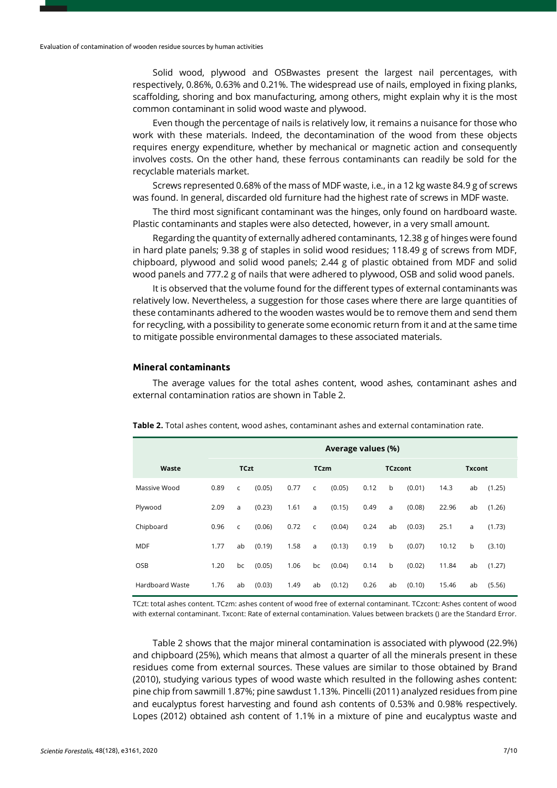Solid wood, plywood and OSBwastes present the largest nail percentages, with respectively, 0.86%, 0.63% and 0.21%. The widespread use of nails, employed in fixing planks, scaffolding, shoring and box manufacturing, among others, might explain why it is the most common contaminant in solid wood waste and plywood.

Even though the percentage of nails is relatively low, it remains a nuisance for those who work with these materials. Indeed, the decontamination of the wood from these objects requires energy expenditure, whether by mechanical or magnetic action and consequently involves costs. On the other hand, these ferrous contaminants can readily be sold for the recyclable materials market.

Screws represented 0.68% of the mass of MDF waste, i.e., in a 12 kg waste 84.9 g of screws was found. In general, discarded old furniture had the highest rate of screws in MDF waste.

The third most significant contaminant was the hinges, only found on hardboard waste. Plastic contaminants and staples were also detected, however, in a very small amount.

Regarding the quantity of externally adhered contaminants, 12.38 g of hinges were found in hard plate panels; 9.38 g of staples in solid wood residues; 118.49 g of screws from MDF, chipboard, plywood and solid wood panels; 2.44 g of plastic obtained from MDF and solid wood panels and 777.2 g of nails that were adhered to plywood, OSB and solid wood panels.

It is observed that the volume found for the different types of external contaminants was relatively low. Nevertheless, a suggestion for those cases where there are large quantities of these contaminants adhered to the wooden wastes would be to remove them and send them for recycling, with a possibility to generate some economic return from it and at the same time to mitigate possible environmental damages to these associated materials.

## **Mineral contaminants**

The average values for the total ashes content, wood ashes, contaminant ashes and external contamination ratios are shown in Table 2.

|                        | Average values (%) |              |             |      |                |        |               |              |        |       |    |        |
|------------------------|--------------------|--------------|-------------|------|----------------|--------|---------------|--------------|--------|-------|----|--------|
| Waste                  | <b>TCzt</b>        |              | <b>TCzm</b> |      | <b>TCzcont</b> |        | <b>Txcont</b> |              |        |       |    |        |
| Massive Wood           | 0.89               | $\mathsf{C}$ | (0.05)      | 0.77 | $\mathsf{C}$   | (0.05) | 0.12          | b            | (0.01) | 14.3  | ab | (1.25) |
| Plywood                | 2.09               | a            | (0.23)      | 1.61 | a              | (0.15) | 0.49          | a            | (0.08) | 22.96 | ab | (1.26) |
| Chipboard              | 0.96               | C            | (0.06)      | 0.72 | $\mathsf{C}$   | (0.04) | 0.24          | ab           | (0.03) | 25.1  | a  | (1.73) |
| <b>MDF</b>             | 1.77               | ab           | (0.19)      | 1.58 | a              | (0.13) | 0.19          | b            | (0.07) | 10.12 | b  | (3.10) |
| <b>OSB</b>             | 1.20               | bc           | (0.05)      | 1.06 | bc             | (0.04) | 0.14          | $\mathsf{b}$ | (0.02) | 11.84 | ab | (1.27) |
| <b>Hardboard Waste</b> | 1.76               | ab           | (0.03)      | 1.49 | ab             | (0.12) | 0.26          | ab           | (0.10) | 15.46 | ab | (5.56) |

**Table 2.** Total ashes content, wood ashes, contaminant ashes and external contamination rate.

TCzt: total ashes content. TCzm: ashes content of wood free of external contaminant. TCzcont: Ashes content of wood with external contaminant. Txcont: Rate of external contamination. Values between brackets () are the Standard Error.

Table 2 shows that the major mineral contamination is associated with plywood (22.9%) and chipboard (25%), which means that almost a quarter of all the minerals present in these residues come from external sources. These values are similar to those obtained by Brand (2010), studying various types of wood waste which resulted in the following ashes content: pine chip from sawmill 1.87%; pine sawdust 1.13%. Pincelli (2011) analyzed residues from pine and eucalyptus forest harvesting and found ash contents of 0.53% and 0.98% respectively. Lopes (2012) obtained ash content of 1.1% in a mixture of pine and eucalyptus waste and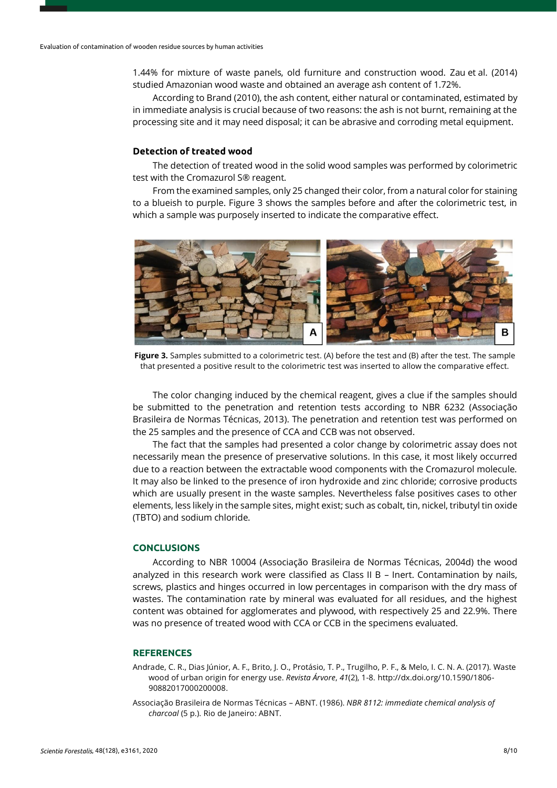1.44% for mixture of waste panels, old furniture and construction wood. Zau et al. (2014) studied Amazonian wood waste and obtained an average ash content of 1.72%.

According to Brand (2010), the ash content, either natural or contaminated, estimated by in immediate analysis is crucial because of two reasons: the ash is not burnt, remaining at the processing site and it may need disposal; it can be abrasive and corroding metal equipment.

# **Detection of treated wood**

The detection of treated wood in the solid wood samples was performed by colorimetric test with the Cromazurol S® reagent.

From the examined samples, only 25 changed their color, from a natural color for staining to a blueish to purple. Figure 3 shows the samples before and after the colorimetric test, in which a sample was purposely inserted to indicate the comparative effect.



**Figure 3.** Samples submitted to a colorimetric test. (A) before the test and (B) after the test. The sample that presented a positive result to the colorimetric test was inserted to allow the comparative effect.

The color changing induced by the chemical reagent, gives a clue if the samples should be submitted to the penetration and retention tests according to NBR 6232 (Associação Brasileira de Normas Técnicas, 2013). The penetration and retention test was performed on the 25 samples and the presence of CCA and CCB was not observed.

The fact that the samples had presented a color change by colorimetric assay does not necessarily mean the presence of preservative solutions. In this case, it most likely occurred due to a reaction between the extractable wood components with the Cromazurol molecule. It may also be linked to the presence of iron hydroxide and zinc chloride; corrosive products which are usually present in the waste samples. Nevertheless false positives cases to other elements, less likely in the sample sites, might exist; such as cobalt, tin, nickel, tributyl tin oxide (TBTO) and sodium chloride.

# **CONCLUSIONS**

According to NBR 10004 (Associação Brasileira de Normas Técnicas, 2004d) the wood analyzed in this research work were classified as Class II B – Inert. Contamination by nails, screws, plastics and hinges occurred in low percentages in comparison with the dry mass of wastes. The contamination rate by mineral was evaluated for all residues, and the highest content was obtained for agglomerates and plywood, with respectively 25 and 22.9%. There was no presence of treated wood with CCA or CCB in the specimens evaluated.

#### **REFERENCES**

- Andrade, C. R., Dias Júnior, A. F., Brito, J. O., Protásio, T. P., Trugilho, P. F., & Melo, I. C. N. A. (2017). Waste wood of urban origin for energy use. *Revista Árvore*, *41*(2), 1-8[. http://dx.doi.org/10.1590/1806-](https://doi.org/10.1590/1806-90882017000200008) [90882017000200008.](https://doi.org/10.1590/1806-90882017000200008)
- Associação Brasileira de Normas Técnicas ABNT. (1986). *NBR 8112: immediate chemical analysis of charcoal* (5 p.). Rio de Janeiro: ABNT.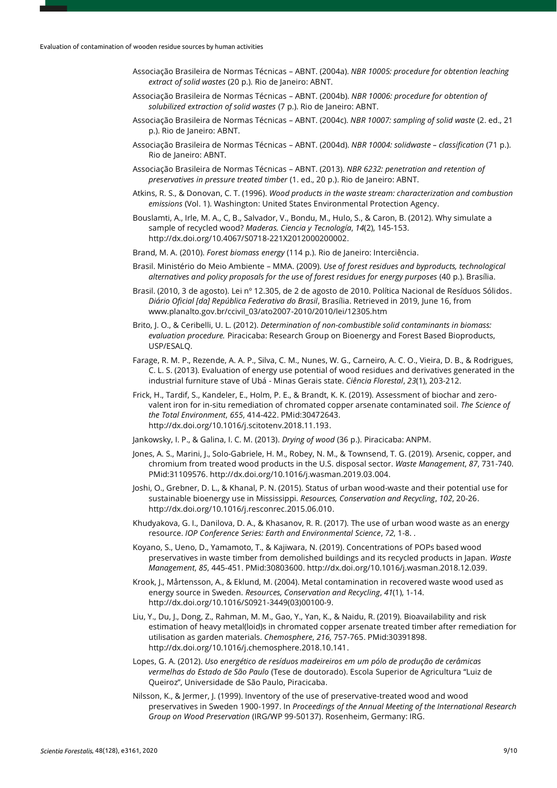- Associação Brasileira de Normas Técnicas ABNT. (2004a). *NBR 10005: procedure for obtention leaching extract of solid wastes* (20 p.). Rio de Janeiro: ABNT.
- Associação Brasileira de Normas Técnicas ABNT. (2004b). *NBR 10006: procedure for obtention of solubilized extraction of solid wastes* (7 p.). Rio de Janeiro: ABNT.
- Associação Brasileira de Normas Técnicas ABNT. (2004c). *NBR 10007: sampling of solid waste* (2. ed., 21 p.). Rio de Janeiro: ABNT.
- Associação Brasileira de Normas Técnicas ABNT. (2004d). *NBR 10004: solidwaste – classification* (71 p.). Rio de Janeiro: ABNT.
- Associação Brasileira de Normas Técnicas ABNT. (2013). *NBR 6232: penetration and retention of preservatives in pressure treated timber* (1. ed., 20 p.). Rio de Janeiro: ABNT.
- Atkins, R. S., & Donovan, C. T. (1996). *Wood products in the waste stream: characterization and combustion emissions* (Vol. 1). Washington: United States Environmental Protection Agency.
- Bouslamti, A., Irle, M. A., C, B., Salvador, V., Bondu, M., Hulo, S., & Caron, B. (2012). Why simulate a sample of recycled wood? *Maderas. Ciencia y Tecnología*, *14*(2), 145-153. [http://dx.doi.org/10.4067/S0718-221X2012000200002.](https://doi.org/10.4067/S0718-221X2012000200002)
- Brand, M. A. (2010). *Forest biomass energy* (114 p.). Rio de Janeiro: Interciência.
- Brasil. Ministério do Meio Ambiente MMA. (2009). *Use of forest residues and byproducts, technological alternatives and policy proposals for the use of forest residues for energy purposes* (40 p.). Brasília.
- Brasil. (2010, 3 de agosto). Lei nº 12.305, de 2 de agosto de 2010. Política Nacional de Resíduos Sólidos. *Diário Oficial [da] República Federativa do Brasil*, Brasília. Retrieved in 2019, June 16, from www.planalto.gov.br/ccivil\_03/ato2007-2010/2010/lei/12305.htm
- Brito, J. O., & Ceribelli, U. L. (2012). *Determination of non-combustible solid contaminants in biomass: evaluation procedure.* Piracicaba: Research Group on Bioenergy and Forest Based Bioproducts, USP/ESALQ.
- Farage, R. M. P., Rezende, A. A. P., Silva, C. M., Nunes, W. G., Carneiro, A. C. O., Vieira, D. B., & Rodrigues, C. L. S. (2013). Evaluation of energy use potential of wood residues and derivatives generated in the industrial furniture stave of Ubá - Minas Gerais state. *Ciência Florestal*, *23*(1), 203-212.
- Frick, H., Tardif, S., Kandeler, E., Holm, P. E., & Brandt, K. K. (2019). Assessment of biochar and zerovalent iron for in-situ remediation of chromated copper arsenate contaminated soil. *The Science of the Total Environment*, *655*, 414-422. [PMid:30472643.](https://www.ncbi.nlm.nih.gov/entrez/query.fcgi?cmd=Retrieve&db=PubMed&list_uids=30472643&dopt=Abstract) [http://dx.doi.org/10.1016/j.scitotenv.2018.11.193.](https://doi.org/10.1016/j.scitotenv.2018.11.193)
- Jankowsky, I. P., & Galina, I. C. M. (2013). *Drying of wood* (36 p.). Piracicaba: ANPM.
- Jones, A. S., Marini, J., Solo-Gabriele, H. M., Robey, N. M., & Townsend, T. G. (2019). Arsenic, copper, and chromium from treated wood products in the U.S. disposal sector. *Waste Management*, *87*, 731-740[.](https://www.ncbi.nlm.nih.gov/entrez/query.fcgi?cmd=Retrieve&db=PubMed&list_uids=31109576&dopt=Abstract) [PMid:31109576.](https://www.ncbi.nlm.nih.gov/entrez/query.fcgi?cmd=Retrieve&db=PubMed&list_uids=31109576&dopt=Abstract) [http://dx.doi.org/10.1016/j.wasman.2019.03.004.](https://doi.org/10.1016/j.wasman.2019.03.004)
- Joshi, O., Grebner, D. L., & Khanal, P. N. (2015). Status of urban wood-waste and their potential use for sustainable bioenergy use in Mississippi. *Resources, Conservation and Recycling*, *102*, 20-26. [http://dx.doi.org/10.1016/j.resconrec.2015.06.010.](https://doi.org/10.1016/j.resconrec.2015.06.010)
- Khudyakova, G. I., Danilova, D. A., & Khasanov, R. R. (2017). The use of urban wood waste as an energy resource. *IOP Conference Series: Earth and Environmental Science*, *72*, 1-8. .
- Koyano, S., Ueno, D., Yamamoto, T., & Kajiwara, N. (2019). Concentrations of POPs based wood preservatives in waste timber from demolished buildings and its recycled products in Japan. *Waste Management*, *85*, 445-451. [PMid:30803600.](https://www.ncbi.nlm.nih.gov/entrez/query.fcgi?cmd=Retrieve&db=PubMed&list_uids=30803600&dopt=Abstract) [http://dx.doi.org/10.1016/j.wasman.2018.12.039.](https://doi.org/10.1016/j.wasman.2018.12.039)
- Krook, J., Mårtensson, A., & Eklund, M. (2004). Metal contamination in recovered waste wood used as energy source in Sweden. *Resources, Conservation and Recycling*, *41*(1), 1-14. [http://dx.doi.org/10.1016/S0921-3449\(03\)00100-9.](https://doi.org/10.1016/S0921-3449(03)00100-9)
- Liu, Y., Du, J., Dong, Z., Rahman, M. M., Gao, Y., Yan, K., & Naidu, R. (2019). Bioavailability and risk estimation of heavy metal(loid)s in chromated copper arsenate treated timber after remediation for utilisation as garden materials. *Chemosphere*, *216*, 757-765. [PMid:30391898.](https://www.ncbi.nlm.nih.gov/entrez/query.fcgi?cmd=Retrieve&db=PubMed&list_uids=30391898&dopt=Abstract) [http://dx.doi.org/10.1016/j.chemosphere.2018.10.141.](https://doi.org/10.1016/j.chemosphere.2018.10.141)
- Lopes, G. A. (2012). *Uso energético de resíduos madeireiros em um pólo de produção de cerâmicas vermelhas do Estado de São Paulo* (Tese de doutorado). Escola Superior de Agricultura "Luiz de Queiroz", Universidade de São Paulo, Piracicaba.
- Nilsson, K., & Jermer, J. (1999). Inventory of the use of preservative-treated wood and wood preservatives in Sweden 1900-1997. In *Proceedings of the Annual Meeting of the International Research Group on Wood Preservation* (IRG/WP 99-50137). Rosenheim, Germany: IRG.